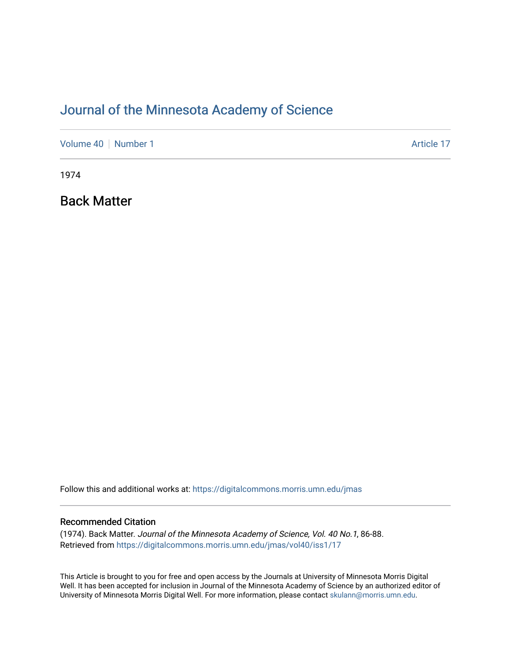## [Journal of the Minnesota Academy of Science](https://digitalcommons.morris.umn.edu/jmas)

[Volume 40](https://digitalcommons.morris.umn.edu/jmas/vol40) | [Number 1](https://digitalcommons.morris.umn.edu/jmas/vol40/iss1) Article 17

1974

Back Matter

Follow this and additional works at: [https://digitalcommons.morris.umn.edu/jmas](https://digitalcommons.morris.umn.edu/jmas?utm_source=digitalcommons.morris.umn.edu%2Fjmas%2Fvol40%2Fiss1%2F17&utm_medium=PDF&utm_campaign=PDFCoverPages) 

### Recommended Citation

(1974). Back Matter. Journal of the Minnesota Academy of Science, Vol. 40 No.1, 86-88. Retrieved from [https://digitalcommons.morris.umn.edu/jmas/vol40/iss1/17](https://digitalcommons.morris.umn.edu/jmas/vol40/iss1/17?utm_source=digitalcommons.morris.umn.edu%2Fjmas%2Fvol40%2Fiss1%2F17&utm_medium=PDF&utm_campaign=PDFCoverPages) 

This Article is brought to you for free and open access by the Journals at University of Minnesota Morris Digital Well. It has been accepted for inclusion in Journal of the Minnesota Academy of Science by an authorized editor of University of Minnesota Morris Digital Well. For more information, please contact [skulann@morris.umn.edu](mailto:skulann@morris.umn.edu).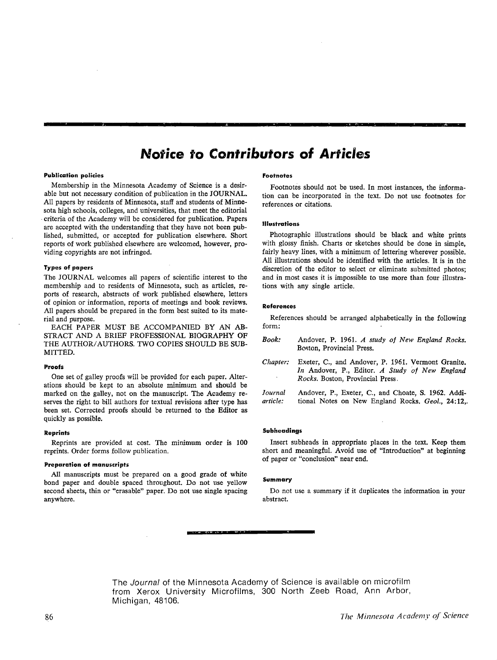## **Notice to Contributors of Articles**

#### **Publication policies**

Membership in the Minnesota Academy of Science is a desirable but not necessary condition of publication in the **JOURNAL.**  All papers by residents of Minnesota, staff and students of **Minne**sota high schools, colleges, and universities, that meet the editorial -criteria of the Academy will be considered for publication. Papers are accepted with the understanding that they have not been published, submitted, or accepted for publication elsewhere. Short reports of work published elsewhere are welcomed, however, providing copyrights are not infringed.

#### **Types of papers**

The JOURNAL welcomes all papers of scientific interest to the membership and to residents of Minnesota, such as articles, reports of research, abstracts of work published elsewhere, letters of opinion or information, reports of meetings and book reviews. All papers should be prepared in the form best suited to its material and purpose.

EACH PAPER MUST BE ACCOMPANIED BY AN AB-STRACT AND A BRIEF PROFESSIONAL BIOGRAPHY OF THE AUTHOR/ AUTHORS. TWO COPIES SHOULD BE SUB-MITTED.

#### **Proofs**

One set of galley proofs will be provided for each paper. Alterations should be kept to an absolute minimum and should be marked on the galley, not on the manuscript. The Academy reserves the right to bill authors for textual revisions after type has been set. Corrected proofs should be returned to the Editor as quickly as possible.

#### **Reprints**

Reprints are provided at cost. The minimum order is 100 reprints. Order forms follow publication.

#### **Preparation of manuscripts**

All manuscripts must be prepared on a good grade of white bond paper and double spaced throughout. Do not use yellow second sheets, thin or "erasable" paper. Do not use single spacing anywhere.

#### **Fooi'notes**

Footnotes should not be used. In most instances, the information can be incorporated in the text. Do not use footnotes for references or citations.

#### **Illustrations**

Photographic illustrations should be black and white prints with glossy finish. Charts or sketches should be done in simple, fairly heavy lines, with a minimum of lettering wherever possible. All illustrations should be identified with the articles. It is in the discretion of the editor to select or eliminate submitted photos; and in most cases it is impossible to use more than four illustrations with any single article.

#### **References**

References should be arranged alphabetically in the following form:

| Book:               | Andover, P. 1961. A study of New England Rocks.<br>Boston, Provincial Press.                                                                    |
|---------------------|-------------------------------------------------------------------------------------------------------------------------------------------------|
| Chapter:            | Exeter, C., and Andover, P. 1961. Vermont Granite.<br>In Andover, P., Editor. A Study of New England<br><i>Rocks.</i> Boston, Provincial Press. |
| Journal<br>article: | Andover, P., Exeter, C., and Choate, S. 1962. Addi-<br>tional Notes on New England Rocks. Geol., 24:12,.                                        |

#### **SubheadinQS**

Insert subheads in appropriate places in the text. Keep them short and meaningful. Avoid use of "Introduction" at beginning of paper or "conclusion" near end.

#### **Summary**

Do not use a summary if it duplicates the information in your abstract.

The Journal of the Minnesota Academy of Science is available on microfilm from Xerox University Microfilms, 300 North Zeeb Road, Ann Arbor, Michigan, 48106.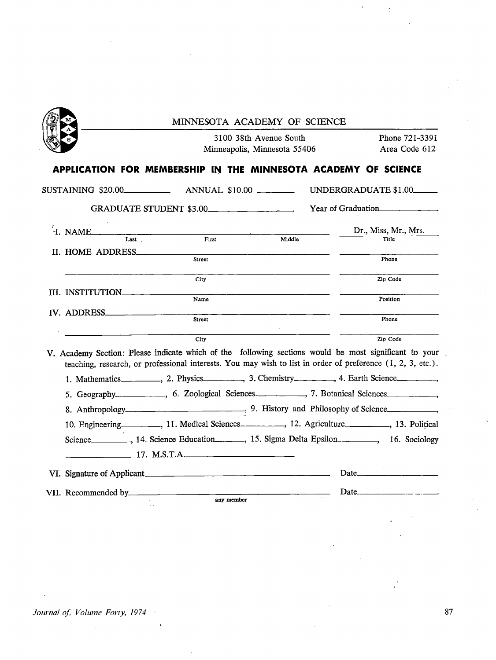|                                                                                                       |                                                                                                                                                                                  | 3100 38th Avenue South<br>Minneapolis, Minnesota 55406 | Phone 721-3391<br>Area Code 612                                                                                                                                                                                                                                                                                                             |
|-------------------------------------------------------------------------------------------------------|----------------------------------------------------------------------------------------------------------------------------------------------------------------------------------|--------------------------------------------------------|---------------------------------------------------------------------------------------------------------------------------------------------------------------------------------------------------------------------------------------------------------------------------------------------------------------------------------------------|
| APPLICATION FOR MEMBERSHIP IN THE MINNESOTA ACADEMY OF SCIENCE                                        |                                                                                                                                                                                  |                                                        |                                                                                                                                                                                                                                                                                                                                             |
|                                                                                                       |                                                                                                                                                                                  |                                                        | UNDERGRADUATE \$1.00                                                                                                                                                                                                                                                                                                                        |
|                                                                                                       | GRADUATE STUDENT \$3.00                                                                                                                                                          |                                                        | Year of Graduation                                                                                                                                                                                                                                                                                                                          |
| H. NAME<br>Last                                                                                       | First                                                                                                                                                                            | Middle                                                 | Dr., Miss, Mr., Mrs.<br><b>Title</b>                                                                                                                                                                                                                                                                                                        |
| II. HOME ADDRESS                                                                                      | Street                                                                                                                                                                           |                                                        | Phone                                                                                                                                                                                                                                                                                                                                       |
|                                                                                                       | City                                                                                                                                                                             |                                                        | Zip Code                                                                                                                                                                                                                                                                                                                                    |
| III. INSTITUTION                                                                                      | Name                                                                                                                                                                             |                                                        | Position                                                                                                                                                                                                                                                                                                                                    |
| IV. ADDRESS                                                                                           | <b>Street</b>                                                                                                                                                                    |                                                        | Phone                                                                                                                                                                                                                                                                                                                                       |
|                                                                                                       | City                                                                                                                                                                             |                                                        | Zip Code                                                                                                                                                                                                                                                                                                                                    |
| V. Academy Section: Please indicate which of the following sections would be most significant to your | teaching, research, or professional interests. You may wish to list in order of preference $(1, 2, 3, \text{ etc.})$ .                                                           |                                                        |                                                                                                                                                                                                                                                                                                                                             |
| 1. Mathematics __________, 2. Physics _________, 3. Chemistry ________, 4. Earth Science ________,    |                                                                                                                                                                                  |                                                        |                                                                                                                                                                                                                                                                                                                                             |
|                                                                                                       |                                                                                                                                                                                  |                                                        |                                                                                                                                                                                                                                                                                                                                             |
|                                                                                                       | 8. Anthropology<br>3. Anthropology<br>3. History and Philosophy of Science<br>3. Anthropology<br>3. History and Philosophy of Science                                            |                                                        |                                                                                                                                                                                                                                                                                                                                             |
|                                                                                                       | 10. Engineering _________, 11. Medical Sciences ________, 12. Agriculture _______, 13. Political<br>Science<br>14. Science Education<br>15. Sigma Delta Epsilon<br>16. Sociology |                                                        |                                                                                                                                                                                                                                                                                                                                             |
|                                                                                                       | 17. M.S.T.A.                                                                                                                                                                     |                                                        | Date $\qquad \qquad$ $\qquad$ $\qquad$ $\qquad$ $\qquad$ $\qquad$ $\qquad$ $\qquad$ $\qquad$ $\qquad$ $\qquad$ $\qquad$ $\qquad$ $\qquad$ $\qquad$ $\qquad$ $\qquad$ $\qquad$ $\qquad$ $\qquad$ $\qquad$ $\qquad$ $\qquad$ $\qquad$ $\qquad$ $\qquad$ $\qquad$ $\qquad$ $\qquad$ $\qquad$ $\qquad$ $\qquad$ $\qquad$ $\qquad$ $\qquad$ $\q$ |

 $\bar{1}$ 

 $\ddot{\phantom{1}}$ 

 $\ddot{\cdot}$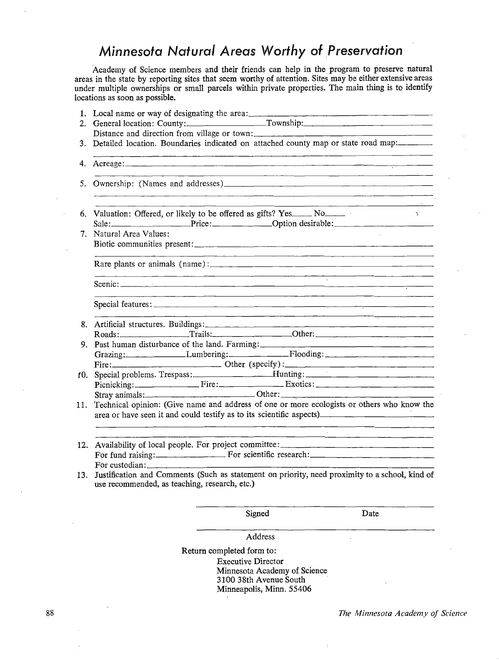## *Minnesota Natural Areas Worthy of \_Preservation*

Academy of Science members and their friends can help in the program to preserve natural areas in the state by reporting sites that seem worthy of attention. Sites may be either extensive areas under multiple ownerships or small parcels within private properties. The main thing is to identify locations as soon as possible.

|     | Address                                                                                                                                                            |
|-----|--------------------------------------------------------------------------------------------------------------------------------------------------------------------|
|     | Signed<br>Date                                                                                                                                                     |
| 13. | use recommended, as teaching, research, etc.)                                                                                                                      |
|     |                                                                                                                                                                    |
| 12. | Availability of local people. For project committee: ____________________________                                                                                  |
|     |                                                                                                                                                                    |
| 11. | Technical opinion: (Give name and address of one or more ecologists or others who know the<br>area or have seen it and could testify as to its scientific aspects) |
|     |                                                                                                                                                                    |
| 10. | Special problems. Trespass:<br>Picnicking: Fire: Fire: Exotics: Exotics:                                                                                           |
|     |                                                                                                                                                                    |
|     | Grazing: Lumbering: Flooding: Flooding:                                                                                                                            |
|     | 9. Past human disturbance of the land. Farming: _________________________________                                                                                  |
|     | Roads: Trails: Trails: 0ther: 0.11                                                                                                                                 |
|     |                                                                                                                                                                    |
|     | <u> 1980 - Johann John Stone, meil in der Stone besteht der Stone der Stone besteht der Stone der Stone der Stone</u><br><u> 1980 - Jacques Jacques (f. 1980)</u>  |
|     |                                                                                                                                                                    |
|     |                                                                                                                                                                    |
|     | 7. Natural Area Values:                                                                                                                                            |
|     | $\sim$ $\sim$ $\sim$<br>Sale: Price: Price: Option desirable: 2000.                                                                                                |
|     | <u> 1989 - Jan James James (f. 1989)</u>                                                                                                                           |
|     |                                                                                                                                                                    |
|     |                                                                                                                                                                    |
|     | 3. Detailed location. Boundaries indicated on attached county map or state road map:                                                                               |
|     | Distance and direction from village or town:                                                                                                                       |
|     |                                                                                                                                                                    |

Return completed form to: Executive Director Minnesota Academy of Science 3100 38th Avenue South · Minneapolis, Minn. 55406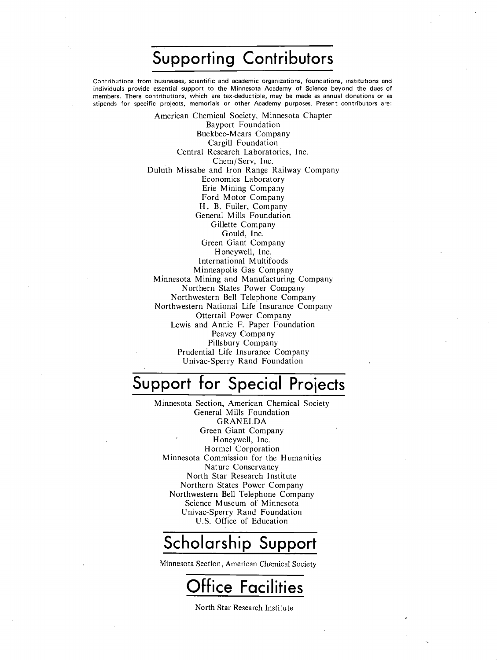# **Supporting Contributors**

Contributions from businesses, scientific and academic organizations, foundations, institutions and individuals provide essential support to the Minnesota Academy of Science beyond the dues of members. There contributions, which are tax-deductiple, may be made as annual donations or as stipends for specific projects, memorials or other Academy purposes. Present contributors are:

> American Chemical Society, Minnesota Chapter Bayport Foundation Buckbee-Mears Company Cargill Foundation Central Research Laboratories, Inc. Chem/ Serv, Inc. Duluth Missabe and Iron Range Railway Company Economics Laboratory Erie Mining Company Ford Motor Company H. B. Fuller, Company General Mills Foundation Gillette Company Gould, Inc. Green Giant Company Honeywell, Inc. International Multifoods Minneapolis Gas Company Minnesota Mining and Manufacturing Company Northern States Power Company Northwestern Bell Telephone Company Northwestern National Life Insurance Company Ottertail Power Company Lewis and Annie F. Paper Foundation Peavey Company Pillsbury Company Prudential Life Insurance Company Univac-Sperry Rand Foundation

# **Support for Special Proiects**

Minnesota Section, American Chemical Society General Mills Foundation GRANELDA Green Giant Company Honeywell, Inc. Hormel Corporation Minnesota Commission for the Humanities Nature Conservancy North Star Research Institute Northern States Power Company Northwestern Bell Telephone Company Science Museum of Minnesota Univac-Sperry Rand Foundation U.S. Office of Education

## **Scholarship Support**

Minnesota Section, American Chemical Society

# **Office Facilities**

North Star Research Institute